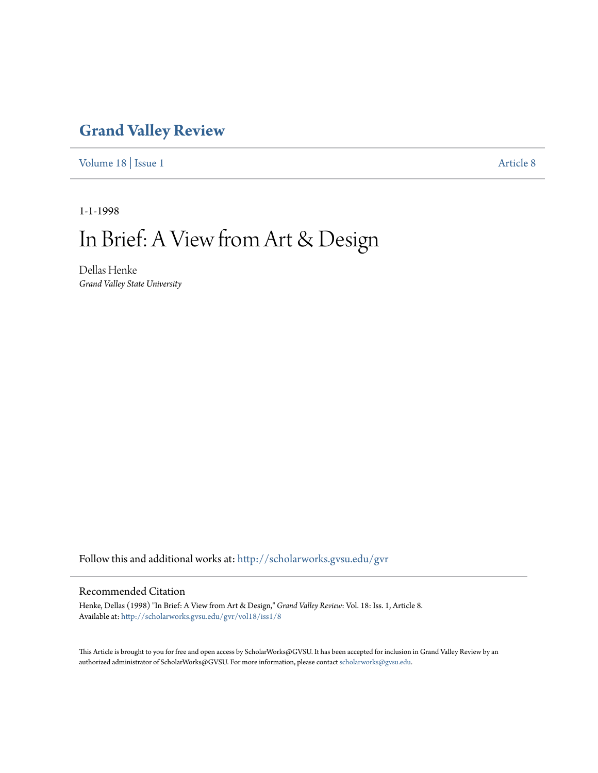## **[Grand Valley Review](http://scholarworks.gvsu.edu/gvr?utm_source=scholarworks.gvsu.edu%2Fgvr%2Fvol18%2Fiss1%2F8&utm_medium=PDF&utm_campaign=PDFCoverPages)**

[Volume 18](http://scholarworks.gvsu.edu/gvr/vol18?utm_source=scholarworks.gvsu.edu%2Fgvr%2Fvol18%2Fiss1%2F8&utm_medium=PDF&utm_campaign=PDFCoverPages) | [Issue 1](http://scholarworks.gvsu.edu/gvr/vol18/iss1?utm_source=scholarworks.gvsu.edu%2Fgvr%2Fvol18%2Fiss1%2F8&utm_medium=PDF&utm_campaign=PDFCoverPages) [Article 8](http://scholarworks.gvsu.edu/gvr/vol18/iss1/8?utm_source=scholarworks.gvsu.edu%2Fgvr%2Fvol18%2Fiss1%2F8&utm_medium=PDF&utm_campaign=PDFCoverPages)

1-1-1998

## In Brief: A View from Art & Design

Dellas Henke *Grand Valley State University*

Follow this and additional works at: [http://scholarworks.gvsu.edu/gvr](http://scholarworks.gvsu.edu/gvr?utm_source=scholarworks.gvsu.edu%2Fgvr%2Fvol18%2Fiss1%2F8&utm_medium=PDF&utm_campaign=PDFCoverPages)

## Recommended Citation

Henke, Dellas (1998) "In Brief: A View from Art & Design," *Grand Valley Review*: Vol. 18: Iss. 1, Article 8. Available at: [http://scholarworks.gvsu.edu/gvr/vol18/iss1/8](http://scholarworks.gvsu.edu/gvr/vol18/iss1/8?utm_source=scholarworks.gvsu.edu%2Fgvr%2Fvol18%2Fiss1%2F8&utm_medium=PDF&utm_campaign=PDFCoverPages)

This Article is brought to you for free and open access by ScholarWorks@GVSU. It has been accepted for inclusion in Grand Valley Review by an authorized administrator of ScholarWorks@GVSU. For more information, please contact [scholarworks@gvsu.edu.](mailto:scholarworks@gvsu.edu)